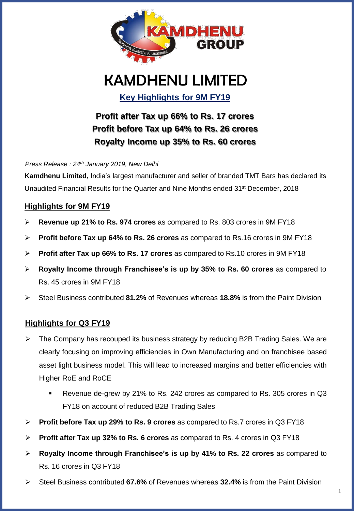

# KAMDHENU LIMITED

**Key Highlights for 9M FY19**

**Profit after Tax up 66% to Rs. 17 crores Profit before Tax up 64% to Rs. 26 crores Royalty Income up 35% to Rs. 60 crores**

*Press Release : 24th January 2019, New Delhi*

**Kamdhenu Limited,** India's largest manufacturer and seller of branded TMT Bars has declared its Unaudited Financial Results for the Quarter and Nine Months ended 31st December, 2018

## **Highlights for 9M FY19**

- ➢ **Revenue up 21% to Rs. 974 crores** as compared to Rs. 803 crores in 9M FY18
- ➢ **Profit before Tax up 64% to Rs. 26 crores** as compared to Rs.16 crores in 9M FY18
- ➢ **Profit after Tax up 66% to Rs. 17 crores** as compared to Rs.10 crores in 9M FY18
- ➢ **Royalty Income through Franchisee's is up by 35% to Rs. 60 crores** as compared to Rs. 45 crores in 9M FY18
- ➢ Steel Business contributed **81.2%** of Revenues whereas **18.8%** is from the Paint Division

### **Highlights for Q3 FY19**

- $\triangleright$  The Company has recouped its business strategy by reducing B2B Trading Sales. We are clearly focusing on improving efficiencies in Own Manufacturing and on franchisee based asset light business model. This will lead to increased margins and better efficiencies with Higher RoE and RoCE
	- Revenue de-grew by 21% to Rs. 242 crores as compared to Rs. 305 crores in Q3 FY18 on account of reduced B2B Trading Sales
- ➢ **Profit before Tax up 29% to Rs. 9 crores** as compared to Rs.7 crores in Q3 FY18
- ➢ **Profit after Tax up 32% to Rs. 6 crores** as compared to Rs. 4 crores in Q3 FY18
- ➢ **Royalty Income through Franchisee's is up by 41% to Rs. 22 crores** as compared to Rs. 16 crores in Q3 FY18
- ➢ Steel Business contributed **67.6%** of Revenues whereas **32.4%** is from the Paint Division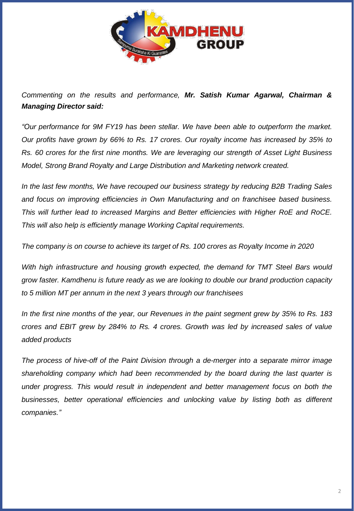

*Commenting on the results and performance, Mr. Satish Kumar Agarwal, Chairman & Managing Director said:*

*"Our performance for 9M FY19 has been stellar. We have been able to outperform the market. Our profits have grown by 66% to Rs. 17 crores. Our royalty income has increased by 35% to Rs. 60 crores for the first nine months. We are leveraging our strength of Asset Light Business Model, Strong Brand Royalty and Large Distribution and Marketing network created.*

*In the last few months, We have recouped our business strategy by reducing B2B Trading Sales and focus on improving efficiencies in Own Manufacturing and on franchisee based business. This will further lead to increased Margins and Better efficiencies with Higher RoE and RoCE. This will also help is efficiently manage Working Capital requirements.*

*The company is on course to achieve its target of Rs. 100 crores as Royalty Income in 2020*

*With high infrastructure and housing growth expected, the demand for TMT Steel Bars would grow faster. Kamdhenu is future ready as we are looking to double our brand production capacity to 5 million MT per annum in the next 3 years through our franchisees*

In the first nine months of the year, our Revenues in the paint segment grew by 35% to Rs. 183 *crores and EBIT grew by 284% to Rs. 4 crores. Growth was led by increased sales of value added products*

*The process of hive-off of the Paint Division through a de-merger into a separate mirror image shareholding company which had been recommended by the board during the last quarter is under progress. This would result in independent and better management focus on both the businesses, better operational efficiencies and unlocking value by listing both as different companies."*